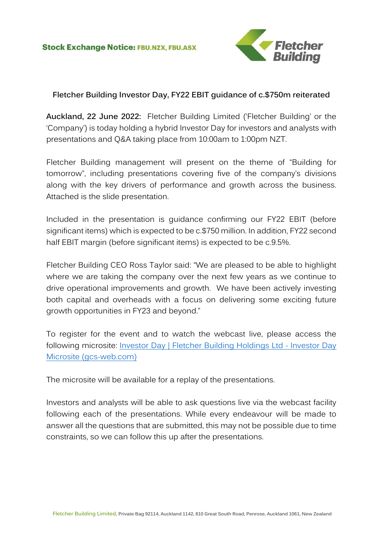

## **Fletcher Building Investor Day, FY22 EBIT guidance of c.\$750m reiterated**

**Auckland, 22 June 2022:** Fletcher Building Limited ('Fletcher Building' or the 'Company') is today holding a hybrid Investor Day for investors and analysts with presentations and Q&A taking place from 10:00am to 1:00pm NZT.

Fletcher Building management will present on the theme of "Building for tomorrow", including presentations covering five of the company's divisions along with the key drivers of performance and growth across the business. Attached is the slide presentation.

Included in the presentation is guidance confirming our FY22 EBIT (before significant items) which is expected to be c.\$750 million. In addition, FY22 second half EBIT margin (before significant items) is expected to be c.9.5%.

Fletcher Building CEO Ross Taylor said: "We are pleased to be able to highlight where we are taking the company over the next few years as we continue to drive operational improvements and growth. We have been actively investing both capital and overheads with a focus on delivering some exciting future growth opportunities in FY23 and beyond."

To register for the event and to watch the webcast live, please access the following microsite: [Investor Day | Fletcher Building Holdings Ltd -](https://fletcherbuildinginvestorday2022.gcs-web.com/) Investor Day [Microsite \(gcs-web.com\)](https://fletcherbuildinginvestorday2022.gcs-web.com/)

The microsite will be available for a replay of the presentations.

Investors and analysts will be able to ask questions live via the webcast facility following each of the presentations. While every endeavour will be made to answer all the questions that are submitted, this may not be possible due to time constraints, so we can follow this up after the presentations.